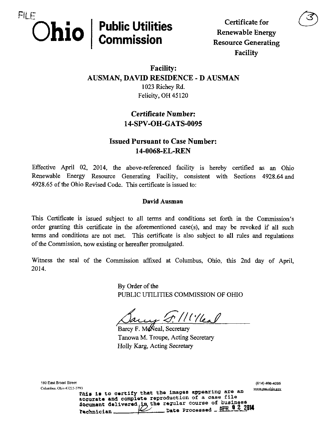

UUIIUUU Renewable Energy Facility

## Facility: AUSMAN, DAVID RESIDENCE - D AUSMAN 1023 Richey Rd. Felicity, OH 45120

## Certificate Number: 14-SPV-OH-GATS-0095

## Issued Pursuant to Case Number: 14-0068-EL-REN

Effective April 02, 2014, the above-referenced facility is hereby certified as an Ohio Renewable Energy Resource Generating Facility, consistent with Sections 4928.64 and 4928.65 of the Ohio Revised Code. This certificate is issued to:

#### David Ausman

This Certificate is issued subject to all terms and conditions set forth in the Commission's order granting this certificate in the aforementioned case(s), and may be revoked if all such terms and conditions are not met. This certificate is also subject to all rules and regulations of the Commission, now existing or hereafter promulgated.

Witness the seal of the Commission affixed at Columbus, Ohio, this 2nd day of April, 2014.

> By Order of the PUBLIC UTILITIES COMMISSION OF OHIO

^/KYl ^

Barcy F. McNeal, Secretary Tanowa M. Troupe, Acting Secretary Holly Karg, Acting Secretary

180 East Broad Street (614) 466^095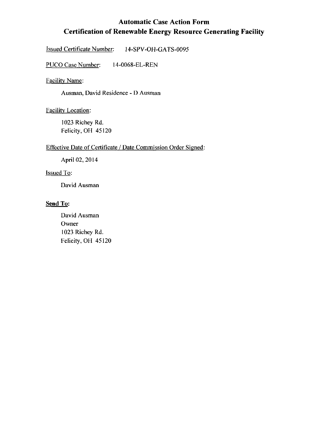## Automatic Case Action Form Certification of Renewable Energy Resource Generating Facility

Issued Certificate Number: 14-SPV-OH-GATS-0095

PUCO Case Number: 14-0068-EL-REN

Facilitv Name:

Ausman, David Residence - D Ausman

Facilitv Location:

1023 Richey Rd. Felicity, OH 45120

#### Effective Date of Certificate / Date Commission Order Signed:

April 02, 2014

Issued To:

David Ausman

#### Send To:

David Ausman Owner 1023 Richey Rd. Felicity, OH 45120